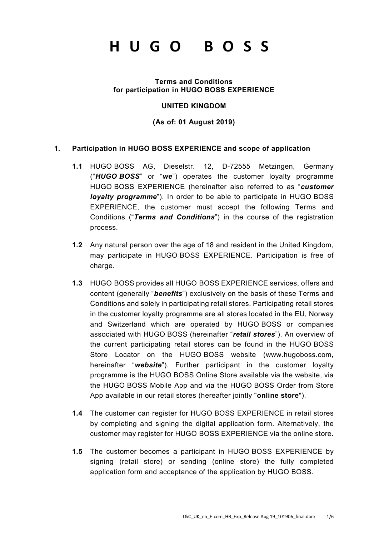#### **Terms and Conditions for participation in HUGO BOSS EXPERIENCE**

### **UNITED KINGDOM**

### **(As of: 01 August 2019)**

## <span id="page-0-0"></span>**1. Participation in HUGO BOSS EXPERIENCE and scope of application**

- **1.1** HUGO BOSS AG, Dieselstr. 12, D-72555 Metzingen, Germany ("*HUGO BOSS*" or "*we*") operates the customer loyalty programme HUGO BOSS EXPERIENCE (hereinafter also referred to as "*customer loyalty programme*"). In order to be able to participate in HUGO BOSS EXPERIENCE, the customer must accept the following Terms and Conditions ("*Terms and Conditions*") in the course of the registration process.
- **1.2** Any natural person over the age of 18 and resident in the United Kingdom, may participate in HUGO BOSS EXPERIENCE. Participation is free of charge.
- **1.3** HUGO BOSS provides all HUGO BOSS EXPERIENCE services, offers and content (generally "*benefits*") exclusively on the basis of these Terms and Conditions and solely in participating retail stores. Participating retail stores in the customer loyalty programme are all stores located in the EU, Norway and Switzerland which are operated by HUGO BOSS or companies associated with HUGO BOSS (hereinafter "*retail stores*"). An overview of the current participating retail stores can be found in the HUGO BOSS Store Locator on the HUGO BOSS website (www.hugoboss.com, hereinafter "*website*"). Further participant in the customer loyalty programme is the HUGO BOSS Online Store available via the website, via the HUGO BOSS Mobile App and via the HUGO BOSS Order from Store App available in our retail stores (hereafter jointly "**online store**").
- **1.4** The customer can register for HUGO BOSS EXPERIENCE in retail stores by completing and signing the digital application form. Alternatively, the customer may register for HUGO BOSS EXPERIENCE via the online store.
- **1.5** The customer becomes a participant in HUGO BOSS EXPERIENCE by signing (retail store) or sending (online store) the fully completed application form and acceptance of the application by HUGO BOSS.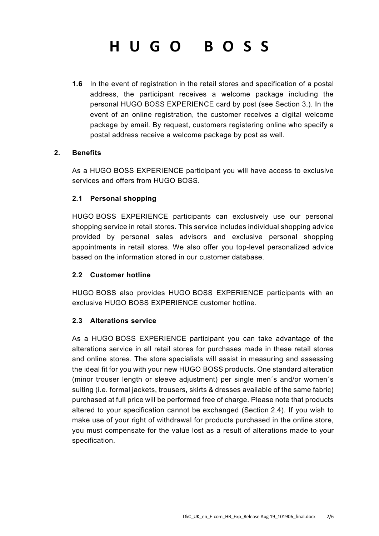**1.6** In the event of registration in the retail stores and specification of a postal address, the participant receives a welcome package including the personal HUGO BOSS EXPERIENCE card by post (see Section [3.](#page-3-0)). In the event of an online registration, the customer receives a digital welcome package by email. By request, customers registering online who specify a postal address receive a welcome package by post as well.

## **2. Benefits**

As a HUGO BOSS EXPERIENCE participant you will have access to exclusive services and offers from HUGO BOSS.

## **2.1 Personal shopping**

HUGO BOSS EXPERIENCE participants can exclusively use our personal shopping service in retail stores. This service includes individual shopping advice provided by personal sales advisors and exclusive personal shopping appointments in retail stores. We also offer you top-level personalized advice based on the information stored in our customer database.

## **2.2 Customer hotline**

HUGO BOSS also provides HUGO BOSS EXPERIENCE participants with an exclusive HUGO BOSS EXPERIENCE customer hotline.

## **2.3 Alterations service**

As a HUGO BOSS EXPERIENCE participant you can take advantage of the alterations service in all retail stores for purchases made in these retail stores and online stores. The store specialists will assist in measuring and assessing the ideal fit for you with your new HUGO BOSS products. One standard alteration (minor trouser length or sleeve adjustment) per single men´s and/or women´s suiting (i.e. formal jackets, trousers, skirts & dresses available of the same fabric) purchased at full price will be performed free of charge. Please note that products altered to your specification cannot be exchanged (Section 2.4). If you wish to make use of your right of withdrawal for products purchased in the online store, you must compensate for the value lost as a result of alterations made to your specification.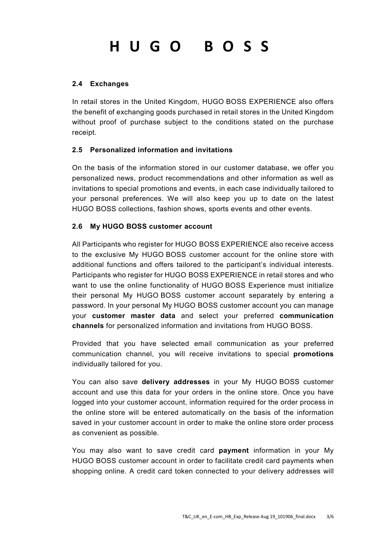## **2.4 Exchanges**

In retail stores in the United Kingdom, HUGO BOSS EXPERIENCE also offers the benefit of exchanging goods purchased in retail stores in the United Kingdom without proof of purchase subject to the conditions stated on the purchase receipt.

## **2.5 Personalized information and invitations**

On the basis of the information stored in our customer database, we offer you personalized news, product recommendations and other information as well as invitations to special promotions and events, in each case individually tailored to your personal preferences. We will also keep you up to date on the latest HUGO BOSS collections, fashion shows, sports events and other events.

## **2.6 My HUGO BOSS customer account**

All Participants who register for HUGO BOSS EXPERIENCE also receive access to the exclusive My HUGO BOSS customer account for the online store with additional functions and offers tailored to the participant's individual interests. Participants who register for HUGO BOSS EXPERIENCE in retail stores and who want to use the online functionality of HUGO BOSS Experience must initialize their personal My HUGO BOSS customer account separately by entering a password. In your personal My HUGO BOSS customer account you can manage your **customer master data** and select your preferred **communication channels** for personalized information and invitations from HUGO BOSS.

Provided that you have selected email communication as your preferred communication channel, you will receive invitations to special **promotions** individually tailored for you.

You can also save **delivery addresses** in your My HUGO BOSS customer account and use this data for your orders in the online store. Once you have logged into your customer account, information required for the order process in the online store will be entered automatically on the basis of the information saved in your customer account in order to make the online store order process as convenient as possible.

You may also want to save credit card **payment** information in your My HUGO BOSS customer account in order to facilitate credit card payments when shopping online. A credit card token connected to your delivery addresses will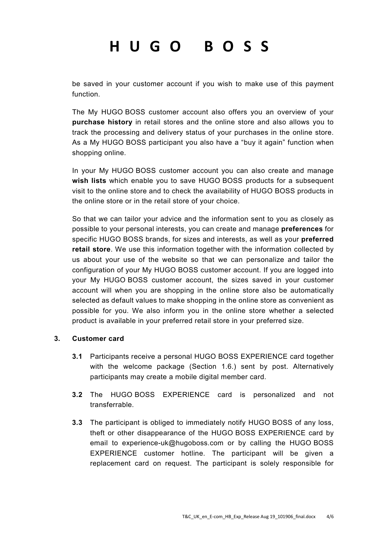be saved in your customer account if you wish to make use of this payment function.

The My HUGO BOSS customer account also offers you an overview of your **purchase history** in retail stores and the online store and also allows you to track the processing and delivery status of your purchases in the online store. As a My HUGO BOSS participant you also have a "buy it again" function when shopping online.

In your My HUGO BOSS customer account you can also create and manage **wish lists** which enable you to save HUGO BOSS products for a subsequent visit to the online store and to check the availability of HUGO BOSS products in the online store or in the retail store of your choice.

So that we can tailor your advice and the information sent to you as closely as possible to your personal interests, you can create and manage **preferences** for specific HUGO BOSS brands, for sizes and interests, as well as your **preferred retail store**. We use this information together with the information collected by us about your use of the website so that we can personalize and tailor the configuration of your My HUGO BOSS customer account. If you are logged into your My HUGO BOSS customer account, the sizes saved in your customer account will when you are shopping in the online store also be automatically selected as default values to make shopping in the online store as convenient as possible for you. We also inform you in the online store whether a selected product is available in your preferred retail store in your preferred size.

## <span id="page-3-0"></span>**3. Customer card**

- **3.1** Participants receive a personal HUGO BOSS EXPERIENCE card together with the welcome package (Section 1.6.) sent by post. Alternatively participants may create a mobile digital member card.
- **3.2** The HUGO BOSS EXPERIENCE card is personalized and not transferrable.
- **3.3** The participant is obliged to immediately notify HUGO BOSS of any loss, theft or other disappearance of the HUGO BOSS EXPERIENCE card by email to experience-uk@hugoboss.com or by calling the HUGO BOSS EXPERIENCE customer hotline. The participant will be given a replacement card on request. The participant is solely responsible for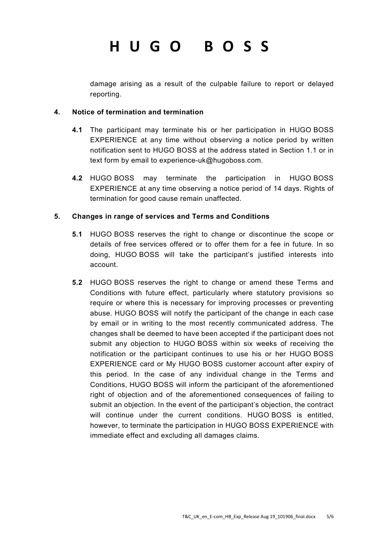damage arising as a result of the culpable failure to report or delayed reporting.

## **4. Notice of termination and termination**

- **4.1** The participant may terminate his or her participation in HUGO BOSS EXPERIENCE at any time without observing a notice period by written notification sent to HUGO BOSS at the address stated in Section [1.1](#page-0-0) or in text form by email to experience-uk@hugoboss.com.
- **4.2** HUGO BOSS may terminate the participation in HUGO BOSS EXPERIENCE at any time observing a notice period of 14 days. Rights of termination for good cause remain unaffected.

#### **5. Changes in range of services and Terms and Conditions**

- **5.1** HUGO BOSS reserves the right to change or discontinue the scope or details of free services offered or to offer them for a fee in future. In so doing, HUGO BOSS will take the participant's justified interests into account.
- **5.2** HUGO BOSS reserves the right to change or amend these Terms and Conditions with future effect, particularly where statutory provisions so require or where this is necessary for improving processes or preventing abuse. HUGO BOSS will notify the participant of the change in each case by email or in writing to the most recently communicated address. The changes shall be deemed to have been accepted if the participant does not submit any objection to HUGO BOSS within six weeks of receiving the notification or the participant continues to use his or her HUGO BOSS EXPERIENCE card or My HUGO BOSS customer account after expiry of this period. In the case of any individual change in the Terms and Conditions, HUGO BOSS will inform the participant of the aforementioned right of objection and of the aforementioned consequences of failing to submit an objection. In the event of the participant's objection, the contract will continue under the current conditions. HUGO BOSS is entitled, however, to terminate the participation in HUGO BOSS EXPERIENCE with immediate effect and excluding all damages claims.